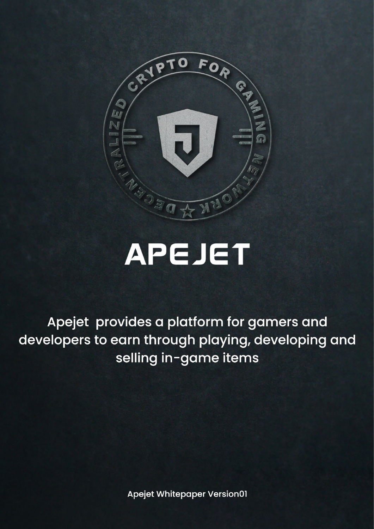

# **APEJET**

Apejet provides a platform for gamers and developers to earn through playing, developing and selling in-game items

Apejet Whitepaper Version01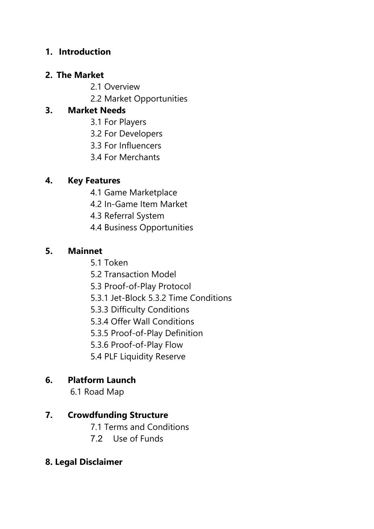#### **1. Introduction**

#### **2. The Market**

- 2.1 Overview
- 2.2 Market Opportunities

#### **3. Market Needs**

- 3.1 For Players
- 3.2 For Developers
- 3.3 For Influencers
- 3.4 For Merchants

#### **4. Key Features**

- 4.1 Game Marketplace
- 4.2 In-Game Item Market
- 4.3 Referral System
- 4.4 Business Opportunities

#### **5. Mainnet**

- 5.1 Token
- 5.2 Transaction Model
- 5.3 Proof-of-Play Protocol
- 5.3.1 Jet-Block 5.3.2 Time Conditions
- 5.3.3 Difficulty Conditions
- 5.3.4 Offer Wall Conditions
- 5.3.5 Proof-of-Play Definition
- 5.3.6 Proof-of-Play Flow
- 5.4 PLF Liquidity Reserve

# **6. Platform Launch**

6.1 Road Map

#### **7. Crowdfunding Structure**

- 7.1 Terms and Conditions
- 7.2 Use of Funds

#### **8. Legal Disclaimer**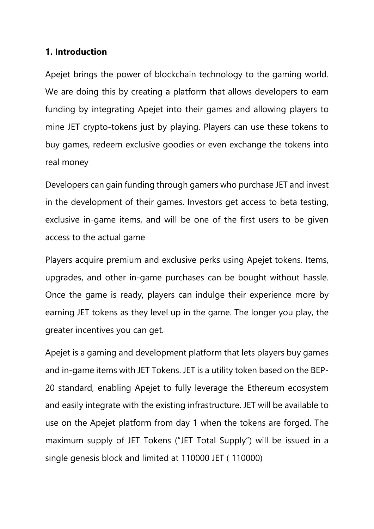#### **1. Introduction**

Apejet brings the power of blockchain technology to the gaming world. We are doing this by creating a platform that allows developers to earn funding by integrating Apejet into their games and allowing players to mine JET crypto-tokens just by playing. Players can use these tokens to buy games, redeem exclusive goodies or even exchange the tokens into real money

Developers can gain funding through gamers who purchase JET and invest in the development of their games. Investors get access to beta testing, exclusive in-game items, and will be one of the first users to be given access to the actual game

Players acquire premium and exclusive perks using Apejet tokens. Items, upgrades, and other in-game purchases can be bought without hassle. Once the game is ready, players can indulge their experience more by earning JET tokens as they level up in the game. The longer you play, the greater incentives you can get.

Apejet is a gaming and development platform that lets players buy games and in-game items with JET Tokens. JET is a utility token based on the BEP-20 standard, enabling Apejet to fully leverage the Ethereum ecosystem and easily integrate with the existing infrastructure. JET will be available to use on the Apejet platform from day 1 when the tokens are forged. The maximum supply of JET Tokens ("JET Total Supply") will be issued in a single genesis block and limited at 110000 JET ( 110000)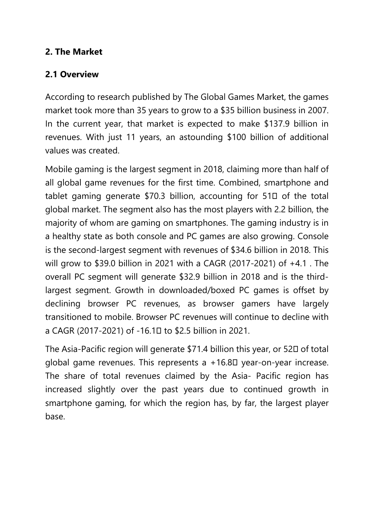#### **2. The Market**

#### **2.1 Overview**

According to research published by The Global Games Market, the games market took more than 35 years to grow to a \$35 billion business in 2007. In the current year, that market is expected to make \$137.9 billion in revenues. With just 11 years, an astounding \$100 billion of additional values was created.

Mobile gaming is the largest segment in 2018, claiming more than half of all global game revenues for the first time. Combined, smartphone and tablet gaming generate  $$70.3$  billion, accounting for  $51\Box$  of the total global market. The segment also has the most players with 2.2 billion, the majority of whom are gaming on smartphones. The gaming industry is in a healthy state as both console and PC games are also growing. Console is the second-largest segment with revenues of \$34.6 billion in 2018. This will grow to \$39.0 billion in 2021 with a CAGR (2017-2021) of +4.1 . The overall PC segment will generate \$32.9 billion in 2018 and is the thirdlargest segment. Growth in downloaded/boxed PC games is offset by declining browser PC revenues, as browser gamers have largely transitioned to mobile. Browser PC revenues will continue to decline with a CAGR (2017-2021) of -16.10 to \$2.5 billion in 2021.

The Asia-Pacific region will generate \$71.4 billion this year, or 520 of total global game revenues. This represents a  $+16.8\Box$  year-on-year increase. The share of total revenues claimed by the Asia- Pacific region has increased slightly over the past years due to continued growth in smartphone gaming, for which the region has, by far, the largest player base.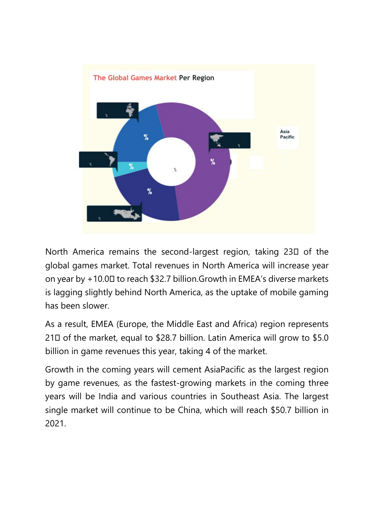

North America remains the second-largest region, taking 230 of the global games market. Total revenues in North America will increase year on year by +10.00 to reach \$32.7 billion. Growth in EMEA's diverse markets is lagging slightly behind North America, as the uptake of mobile gaming has been slower.

As a result, EMEA (Europe, the Middle East and Africa) region represents 210 of the market, equal to \$28.7 billion. Latin America will grow to \$5.0 billion in game revenues this year, taking 4 of the market.

Growth in the coming years will cement AsiaPacific as the largest region by game revenues, as the fastest-growing markets in the coming three years will be India and various countries in Southeast Asia. The largest single market will continue to be China, which will reach \$50.7 billion in 2021.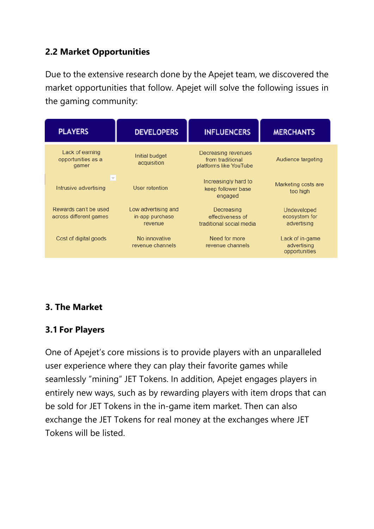#### **2.2 Market Opportunities**

Due to the extensive research done by the Apejet team, we discovered the market opportunities that follow. Apejet will solve the following issues in the gaming community:



# **3. The Market**

# **3.1 For Players**

One of Apejet's core missions is to provide players with an unparalleled user experience where they can play their favorite games while seamlessly "mining" JET Tokens. In addition, Apejet engages players in entirely new ways, such as by rewarding players with item drops that can be sold for JET Tokens in the in-game item market. Then can also exchange the JET Tokens for real money at the exchanges where JET Tokens will be listed.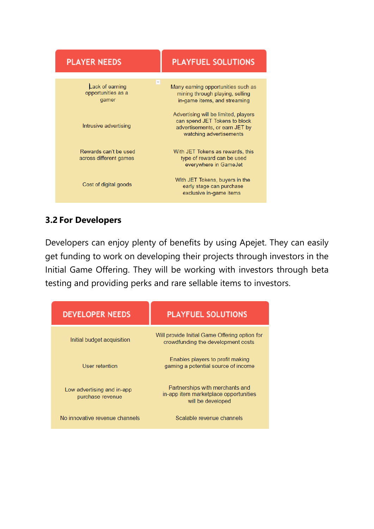| <b>PLAYER NEEDS</b>                                                    | <b>PLAYFUEL SOLUTIONS</b>                                                                                                          |
|------------------------------------------------------------------------|------------------------------------------------------------------------------------------------------------------------------------|
| $\vert \nabla \vert$<br>Lack of earning<br>opportunities as a<br>gamer | Many earning opportunities such as<br>mining through playing, selling<br>in-game items, and streaming                              |
| Intrusive advertising                                                  | Advertising will be limited, players<br>can spend JET Tokens to block<br>advertisements, or earn JET by<br>watching advertisements |
| Rewards can't be used<br>across different games                        | With JET Tokens as rewards, this<br>type of reward can be used<br>everywhere in GameJet                                            |
| Cost of digital goods                                                  | With JET Tokens, buyers in the<br>early stage can purchase<br>exclusive in-game items                                              |

# **3.2 For Developers**

Developers can enjoy plenty of benefits by using Apejet. They can easily get funding to work on developing their projects through investors in the Initial Game Offering. They will be working with investors through beta testing and providing perks and rare sellable items to investors.

| <b>DEVELOPER NEEDS</b>                         | <b>PLAYFUEL SOLUTIONS</b>                                                                     |
|------------------------------------------------|-----------------------------------------------------------------------------------------------|
| Initial budget acquisition                     | Will provide Initial Game Offering option for<br>crowdfunding the development costs           |
| User retention                                 | Enables players to profit making<br>gaming a potential source of income                       |
| Low advertising and in-app<br>purchase revenue | Partnerships with merchants and<br>in-app item marketplace opportunities<br>will be developed |
| No innovative revenue channels                 | Scalable revenue channels                                                                     |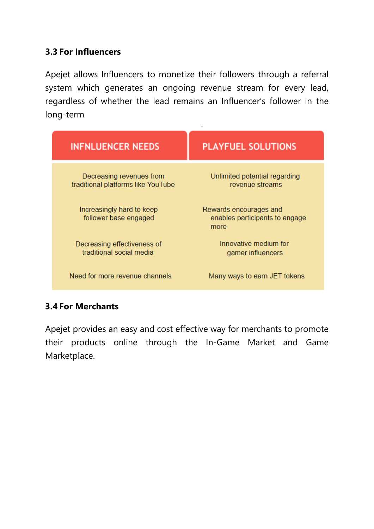#### **3.3 For Influencers**

Apejet allows Influencers to monetize their followers through a referral system which generates an ongoing revenue stream for every lead, regardless of whether the lead remains an Influencer's follower in the long-term

| <b>INFNLUENCER NEEDS</b>                                       | <b>PLAYFUEL SOLUTIONS</b>                                        |
|----------------------------------------------------------------|------------------------------------------------------------------|
| Decreasing revenues from<br>traditional platforms like YouTube | Unlimited potential regarding<br>revenue streams                 |
| Increasingly hard to keep<br>follower base engaged             | Rewards encourages and<br>enables participants to engage<br>more |
| Decreasing effectiveness of<br>traditional social media        | Innovative medium for<br>gamer influencers                       |
| Need for more revenue channels                                 | Many ways to earn JET tokens                                     |

#### **3.4 For Merchants**

Apejet provides an easy and cost effective way for merchants to promote their products online through the In-Game Market and Game Marketplace.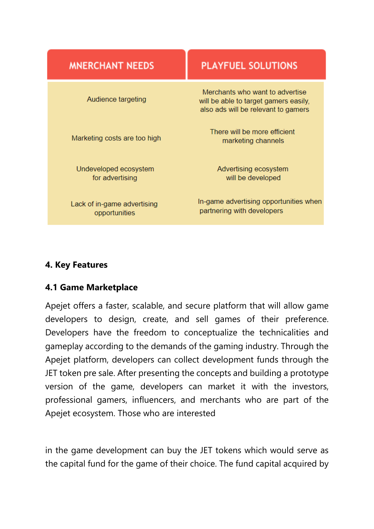| <b>MNERCHANT NEEDS</b>                       | <b>PLAYFUEL SOLUTIONS</b>                                                                                       |  |
|----------------------------------------------|-----------------------------------------------------------------------------------------------------------------|--|
| Audience targeting                           | Merchants who want to advertise<br>will be able to target gamers easily,<br>also ads will be relevant to gamers |  |
| Marketing costs are too high                 | There will be more efficient<br>marketing channels                                                              |  |
| Undeveloped ecosystem<br>for advertising     | Advertising ecosystem<br>will be developed                                                                      |  |
| Lack of in-game advertising<br>opportunities | In-game advertising opportunities when<br>partnering with developers                                            |  |

#### **4. Key Features**

#### **4.1 Game Marketplace**

Apejet offers a faster, scalable, and secure platform that will allow game developers to design, create, and sell games of their preference. Developers have the freedom to conceptualize the technicalities and gameplay according to the demands of the gaming industry. Through the Apejet platform, developers can collect development funds through the JET token pre sale. After presenting the concepts and building a prototype version of the game, developers can market it with the investors, professional gamers, influencers, and merchants who are part of the Apejet ecosystem. Those who are interested

in the game development can buy the JET tokens which would serve as the capital fund for the game of their choice. The fund capital acquired by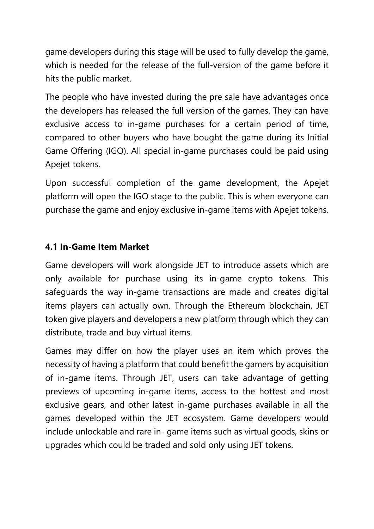game developers during this stage will be used to fully develop the game, which is needed for the release of the full-version of the game before it hits the public market.

The people who have invested during the pre sale have advantages once the developers has released the full version of the games. They can have exclusive access to in-game purchases for a certain period of time, compared to other buyers who have bought the game during its Initial Game Offering (IGO). All special in-game purchases could be paid using Apejet tokens.

Upon successful completion of the game development, the Apejet platform will open the IGO stage to the public. This is when everyone can purchase the game and enjoy exclusive in-game items with Apejet tokens.

#### **4.1 In-Game Item Market**

Game developers will work alongside JET to introduce assets which are only available for purchase using its in-game crypto tokens. This safeguards the way in-game transactions are made and creates digital items players can actually own. Through the Ethereum blockchain, JET token give players and developers a new platform through which they can distribute, trade and buy virtual items.

Games may differ on how the player uses an item which proves the necessity of having a platform that could benefit the gamers by acquisition of in-game items. Through JET, users can take advantage of getting previews of upcoming in-game items, access to the hottest and most exclusive gears, and other latest in-game purchases available in all the games developed within the JET ecosystem. Game developers would include unlockable and rare in- game items such as virtual goods, skins or upgrades which could be traded and sold only using JET tokens.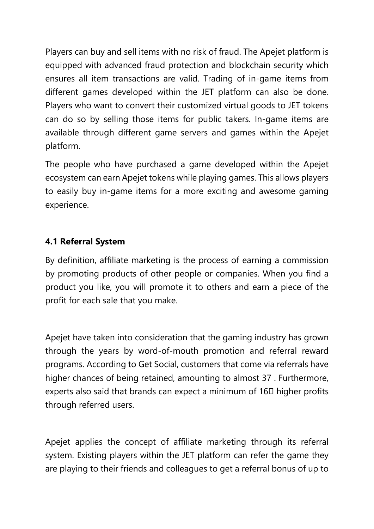Players can buy and sell items with no risk of fraud. The Apejet platform is equipped with advanced fraud protection and blockchain security which ensures all item transactions are valid. Trading of in-game items from different games developed within the JET platform can also be done. Players who want to convert their customized virtual goods to JET tokens can do so by selling those items for public takers. In-game items are available through different game servers and games within the Apejet platform.

The people who have purchased a game developed within the Apejet ecosystem can earn Apejet tokens while playing games. This allows players to easily buy in-game items for a more exciting and awesome gaming experience.

# **4.1 Referral System**

By definition, affiliate marketing is the process of earning a commission by promoting products of other people or companies. When you find a product you like, you will promote it to others and earn a piece of the profit for each sale that you make.

Apejet have taken into consideration that the gaming industry has grown through the years by word-of-mouth promotion and referral reward programs. According to Get Social, customers that come via referrals have higher chances of being retained, amounting to almost 37 . Furthermore, experts also said that brands can expect a minimum of 160 higher profits through referred users.

Apejet applies the concept of affiliate marketing through its referral system. Existing players within the JET platform can refer the game they are playing to their friends and colleagues to get a referral bonus of up to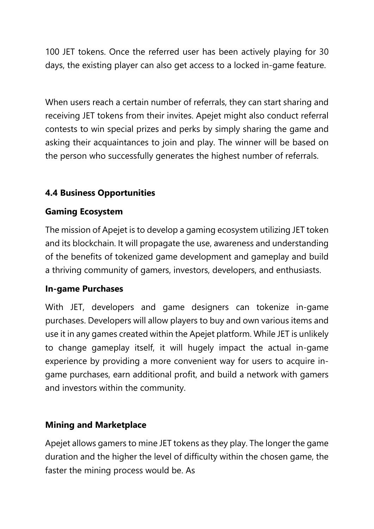100 JET tokens. Once the referred user has been actively playing for 30 days, the existing player can also get access to a locked in-game feature.

When users reach a certain number of referrals, they can start sharing and receiving JET tokens from their invites. Apejet might also conduct referral contests to win special prizes and perks by simply sharing the game and asking their acquaintances to join and play. The winner will be based on the person who successfully generates the highest number of referrals.

# **4.4 Business Opportunities**

#### **Gaming Ecosystem**

The mission of Apejet is to develop a gaming ecosystem utilizing JET token and its blockchain. It will propagate the use, awareness and understanding of the benefits of tokenized game development and gameplay and build a thriving community of gamers, investors, developers, and enthusiasts.

#### **In-game Purchases**

With JET, developers and game designers can tokenize in-game purchases. Developers will allow players to buy and own various items and use it in any games created within the Apejet platform. While JET is unlikely to change gameplay itself, it will hugely impact the actual in-game experience by providing a more convenient way for users to acquire ingame purchases, earn additional profit, and build a network with gamers and investors within the community.

# **Mining and Marketplace**

Apejet allows gamers to mine JET tokens as they play. The longer the game duration and the higher the level of difficulty within the chosen game, the faster the mining process would be. As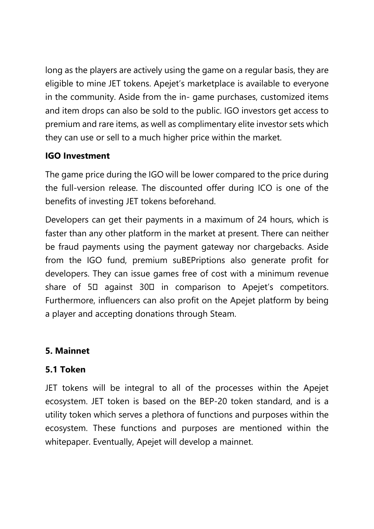long as the players are actively using the game on a regular basis, they are eligible to mine JET tokens. Apejet's marketplace is available to everyone in the community. Aside from the in- game purchases, customized items and item drops can also be sold to the public. IGO investors get access to premium and rare items, as well as complimentary elite investor sets which they can use or sell to a much higher price within the market.

# **IGO Investment**

The game price during the IGO will be lower compared to the price during the full-version release. The discounted offer during ICO is one of the benefits of investing JET tokens beforehand.

Developers can get their payments in a maximum of 24 hours, which is faster than any other platform in the market at present. There can neither be fraud payments using the payment gateway nor chargebacks. Aside from the IGO fund, premium suBEPriptions also generate profit for developers. They can issue games free of cost with a minimum revenue share of  $5\Box$  against  $30\Box$  in comparison to Apejet's competitors. Furthermore, influencers can also profit on the Apejet platform by being a player and accepting donations through Steam.

# **5. Mainnet**

# **5.1 Token**

JET tokens will be integral to all of the processes within the Apejet ecosystem. JET token is based on the BEP-20 token standard, and is a utility token which serves a plethora of functions and purposes within the ecosystem. These functions and purposes are mentioned within the whitepaper. Eventually, Apejet will develop a mainnet.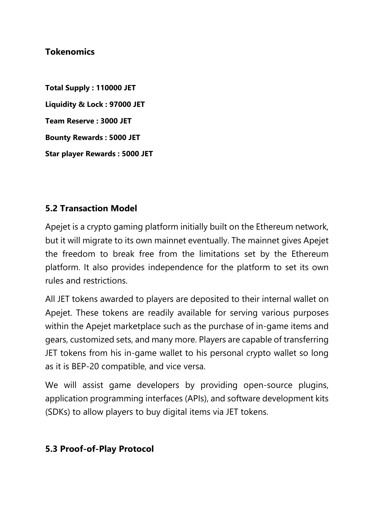#### **Tokenomics**

**Total Supply : 110000 JET Liquidity & Lock : 97000 JET Team Reserve : 3000 JET Bounty Rewards : 5000 JET Star player Rewards : 5000 JET**

#### **5.2 Transaction Model**

Apejet is a crypto gaming platform initially built on the Ethereum network, but it will migrate to its own mainnet eventually. The mainnet gives Apejet the freedom to break free from the limitations set by the Ethereum platform. It also provides independence for the platform to set its own rules and restrictions.

All JET tokens awarded to players are deposited to their internal wallet on Apejet. These tokens are readily available for serving various purposes within the Apejet marketplace such as the purchase of in-game items and gears, customized sets, and many more. Players are capable of transferring JET tokens from his in-game wallet to his personal crypto wallet so long as it is BEP-20 compatible, and vice versa.

We will assist game developers by providing open-source plugins, application programming interfaces (APIs), and software development kits (SDKs) to allow players to buy digital items via JET tokens.

#### **5.3 Proof-of-Play Protocol**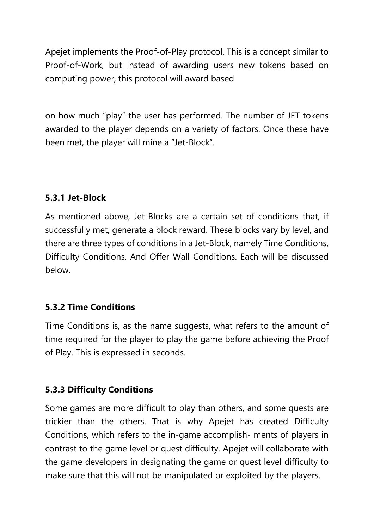Apejet implements the Proof-of-Play protocol. This is a concept similar to Proof-of-Work, but instead of awarding users new tokens based on computing power, this protocol will award based

on how much "play" the user has performed. The number of JET tokens awarded to the player depends on a variety of factors. Once these have been met, the player will mine a "Jet-Block".

#### **5.3.1 Jet-Block**

As mentioned above, Jet-Blocks are a certain set of conditions that, if successfully met, generate a block reward. These blocks vary by level, and there are three types of conditions in a Jet-Block, namely Time Conditions, Difficulty Conditions. And Offer Wall Conditions. Each will be discussed below.

# **5.3.2 Time Conditions**

Time Conditions is, as the name suggests, what refers to the amount of time required for the player to play the game before achieving the Proof of Play. This is expressed in seconds.

#### **5.3.3 Difficulty Conditions**

Some games are more difficult to play than others, and some quests are trickier than the others. That is why Apejet has created Difficulty Conditions, which refers to the in-game accomplish- ments of players in contrast to the game level or quest difficulty. Apejet will collaborate with the game developers in designating the game or quest level difficulty to make sure that this will not be manipulated or exploited by the players.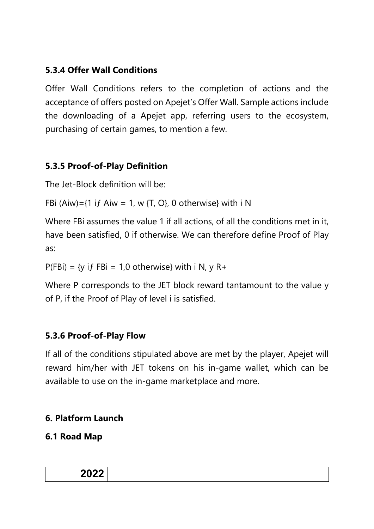# **5.3.4 Offer Wall Conditions**

Offer Wall Conditions refers to the completion of actions and the acceptance of offers posted on Apejet's Offer Wall. Sample actions include the downloading of a Apejet app, referring users to the ecosystem, purchasing of certain games, to mention a few.

# **5.3.5 Proof-of-Play Definition**

The Jet-Block definition will be:

FBi (Aiw)={1 if Aiw = 1, w {T, O}, 0 otherwise} with i N

Where FBi assumes the value 1 if all actions, of all the conditions met in it, have been satisfied, 0 if otherwise. We can therefore define Proof of Play as:

 $P(FBi) = \{y \text{ if } FBi = 1,0 \text{ otherwise}\}$  with i N, y R+

Where P corresponds to the JET block reward tantamount to the value y of P, if the Proof of Play of level i is satisfied.

# **5.3.6 Proof-of-Play Flow**

If all of the conditions stipulated above are met by the player, Apejet will reward him/her with JET tokens on his in-game wallet, which can be available to use on the in-game marketplace and more.

# **6. Platform Launch**

# **6.1 Road Map**

| <b>מממה</b><br>ZUZZ – |  |
|-----------------------|--|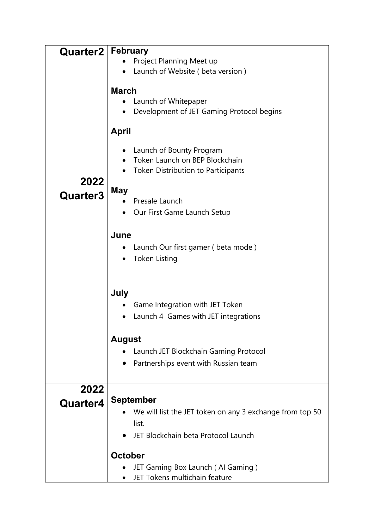| <b>Quarter2</b> | <b>February</b>                                              |  |  |  |  |
|-----------------|--------------------------------------------------------------|--|--|--|--|
|                 | Project Planning Meet up<br>Launch of Website (beta version) |  |  |  |  |
|                 |                                                              |  |  |  |  |
|                 |                                                              |  |  |  |  |
|                 | <b>March</b>                                                 |  |  |  |  |
|                 | Launch of Whitepaper                                         |  |  |  |  |
|                 | Development of JET Gaming Protocol begins                    |  |  |  |  |
|                 |                                                              |  |  |  |  |
|                 | <b>April</b>                                                 |  |  |  |  |
|                 | Launch of Bounty Program                                     |  |  |  |  |
|                 | Token Launch on BEP Blockchain                               |  |  |  |  |
|                 | <b>Token Distribution to Participants</b>                    |  |  |  |  |
| 2022            |                                                              |  |  |  |  |
|                 | <b>May</b>                                                   |  |  |  |  |
| Quarter3        | Presale Launch                                               |  |  |  |  |
|                 | Our First Game Launch Setup                                  |  |  |  |  |
|                 |                                                              |  |  |  |  |
|                 |                                                              |  |  |  |  |
|                 | June                                                         |  |  |  |  |
|                 | Launch Our first gamer (beta mode)                           |  |  |  |  |
|                 | <b>Token Listing</b>                                         |  |  |  |  |
|                 |                                                              |  |  |  |  |
|                 |                                                              |  |  |  |  |
|                 | July                                                         |  |  |  |  |
|                 | Game Integration with JET Token                              |  |  |  |  |
|                 | Launch 4 Games with JET integrations                         |  |  |  |  |
|                 |                                                              |  |  |  |  |
|                 | <b>August</b>                                                |  |  |  |  |
|                 | Launch JET Blockchain Gaming Protocol                        |  |  |  |  |
|                 | Partnerships event with Russian team                         |  |  |  |  |
|                 |                                                              |  |  |  |  |
| 2022            |                                                              |  |  |  |  |
| Quarter4        | <b>September</b>                                             |  |  |  |  |
|                 | We will list the JET token on any 3 exchange from top 50     |  |  |  |  |
|                 |                                                              |  |  |  |  |
|                 | list.                                                        |  |  |  |  |
|                 | JET Blockchain beta Protocol Launch                          |  |  |  |  |
|                 | <b>October</b>                                               |  |  |  |  |
|                 | JET Gaming Box Launch (Al Gaming)                            |  |  |  |  |
|                 | JET Tokens multichain feature                                |  |  |  |  |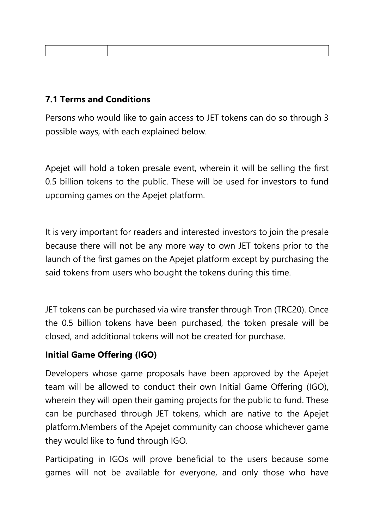# **7.1 Terms and Conditions**

Persons who would like to gain access to JET tokens can do so through 3 possible ways, with each explained below.

Apejet will hold a token presale event, wherein it will be selling the first 0.5 billion tokens to the public. These will be used for investors to fund upcoming games on the Apejet platform.

It is very important for readers and interested investors to join the presale because there will not be any more way to own JET tokens prior to the launch of the first games on the Apejet platform except by purchasing the said tokens from users who bought the tokens during this time.

JET tokens can be purchased via wire transfer through Tron (TRC20). Once the 0.5 billion tokens have been purchased, the token presale will be closed, and additional tokens will not be created for purchase.

#### **Initial Game Offering (IGO)**

Developers whose game proposals have been approved by the Apejet team will be allowed to conduct their own Initial Game Offering (IGO), wherein they will open their gaming projects for the public to fund. These can be purchased through JET tokens, which are native to the Apejet platform.Members of the Apejet community can choose whichever game they would like to fund through IGO.

Participating in IGOs will prove beneficial to the users because some games will not be available for everyone, and only those who have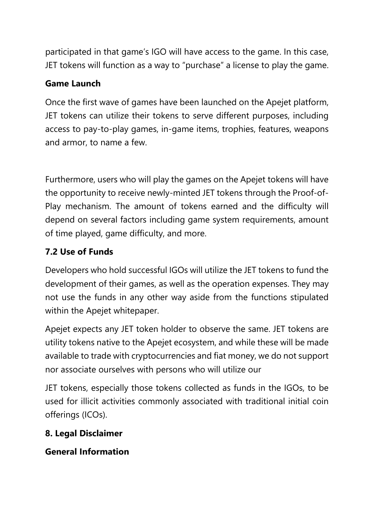participated in that game's IGO will have access to the game. In this case, JET tokens will function as a way to "purchase" a license to play the game.

### **Game Launch**

Once the first wave of games have been launched on the Apejet platform, JET tokens can utilize their tokens to serve different purposes, including access to pay-to-play games, in-game items, trophies, features, weapons and armor, to name a few.

Furthermore, users who will play the games on the Apejet tokens will have the opportunity to receive newly-minted JET tokens through the Proof-of-Play mechanism. The amount of tokens earned and the difficulty will depend on several factors including game system requirements, amount of time played, game difficulty, and more.

# **7.2 Use of Funds**

Developers who hold successful IGOs will utilize the JET tokens to fund the development of their games, as well as the operation expenses. They may not use the funds in any other way aside from the functions stipulated within the Apejet whitepaper.

Apejet expects any JET token holder to observe the same. JET tokens are utility tokens native to the Apejet ecosystem, and while these will be made available to trade with cryptocurrencies and fiat money, we do not support nor associate ourselves with persons who will utilize our

JET tokens, especially those tokens collected as funds in the IGOs, to be used for illicit activities commonly associated with traditional initial coin offerings (ICOs).

# **8. Legal Disclaimer**

# **General Information**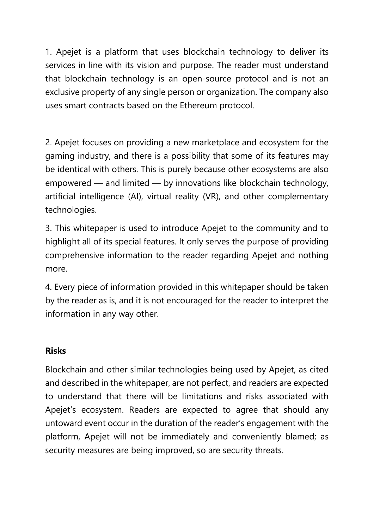1. Apejet is a platform that uses blockchain technology to deliver its services in line with its vision and purpose. The reader must understand that blockchain technology is an open-source protocol and is not an exclusive property of any single person or organization. The company also uses smart contracts based on the Ethereum protocol.

2. Apejet focuses on providing a new marketplace and ecosystem for the gaming industry, and there is a possibility that some of its features may be identical with others. This is purely because other ecosystems are also empowered — and limited — by innovations like blockchain technology, artificial intelligence (AI), virtual reality (VR), and other complementary technologies.

3. This whitepaper is used to introduce Apejet to the community and to highlight all of its special features. It only serves the purpose of providing comprehensive information to the reader regarding Apejet and nothing more.

4. Every piece of information provided in this whitepaper should be taken by the reader as is, and it is not encouraged for the reader to interpret the information in any way other.

#### **Risks**

Blockchain and other similar technologies being used by Apejet, as cited and described in the whitepaper, are not perfect, and readers are expected to understand that there will be limitations and risks associated with Apejet's ecosystem. Readers are expected to agree that should any untoward event occur in the duration of the reader's engagement with the platform, Apejet will not be immediately and conveniently blamed; as security measures are being improved, so are security threats.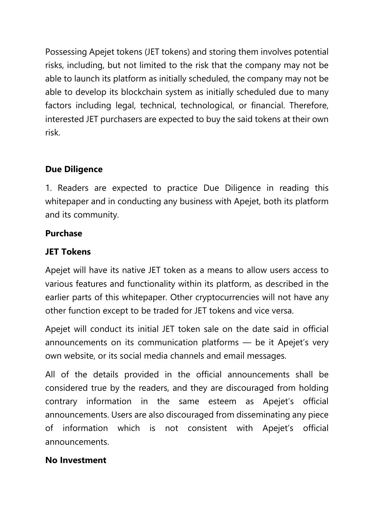Possessing Apejet tokens (JET tokens) and storing them involves potential risks, including, but not limited to the risk that the company may not be able to launch its platform as initially scheduled, the company may not be able to develop its blockchain system as initially scheduled due to many factors including legal, technical, technological, or financial. Therefore, interested JET purchasers are expected to buy the said tokens at their own risk.

# **Due Diligence**

1. Readers are expected to practice Due Diligence in reading this whitepaper and in conducting any business with Apejet, both its platform and its community.

#### **Purchase**

#### **JET Tokens**

Apejet will have its native JET token as a means to allow users access to various features and functionality within its platform, as described in the earlier parts of this whitepaper. Other cryptocurrencies will not have any other function except to be traded for JET tokens and vice versa.

Apejet will conduct its initial JET token sale on the date said in official announcements on its communication platforms — be it Apejet's very own website, or its social media channels and email messages.

All of the details provided in the official announcements shall be considered true by the readers, and they are discouraged from holding contrary information in the same esteem as Apejet's official announcements. Users are also discouraged from disseminating any piece of information which is not consistent with Apejet's official announcements.

# **No Investment**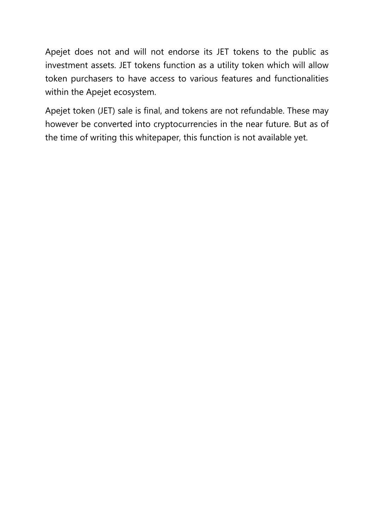Apejet does not and will not endorse its JET tokens to the public as investment assets. JET tokens function as a utility token which will allow token purchasers to have access to various features and functionalities within the Apejet ecosystem.

Apejet token (JET) sale is final, and tokens are not refundable. These may however be converted into cryptocurrencies in the near future. But as of the time of writing this whitepaper, this function is not available yet.